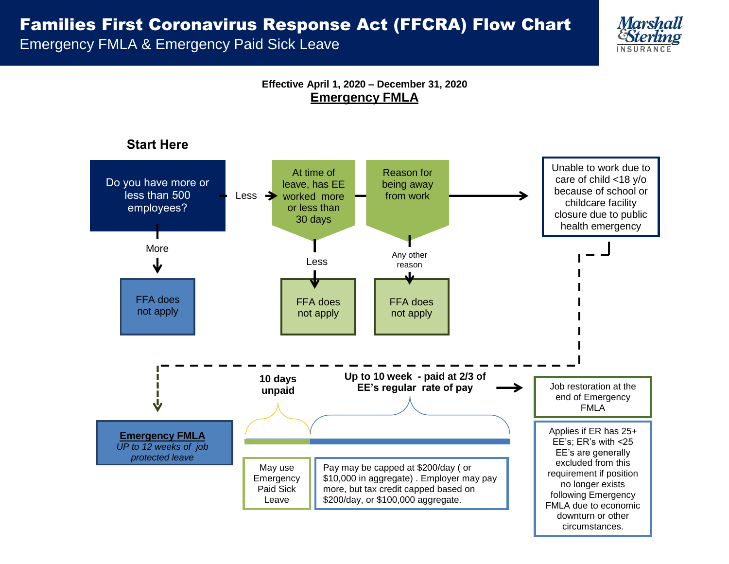## Families First Coronavirus Response Act (FFCRA) Flow Chart

Emergency FMLA & Emergency Paid Sick Leave



**Effective April 1, 2020 – December 31, 2020 Emergency FMLA**